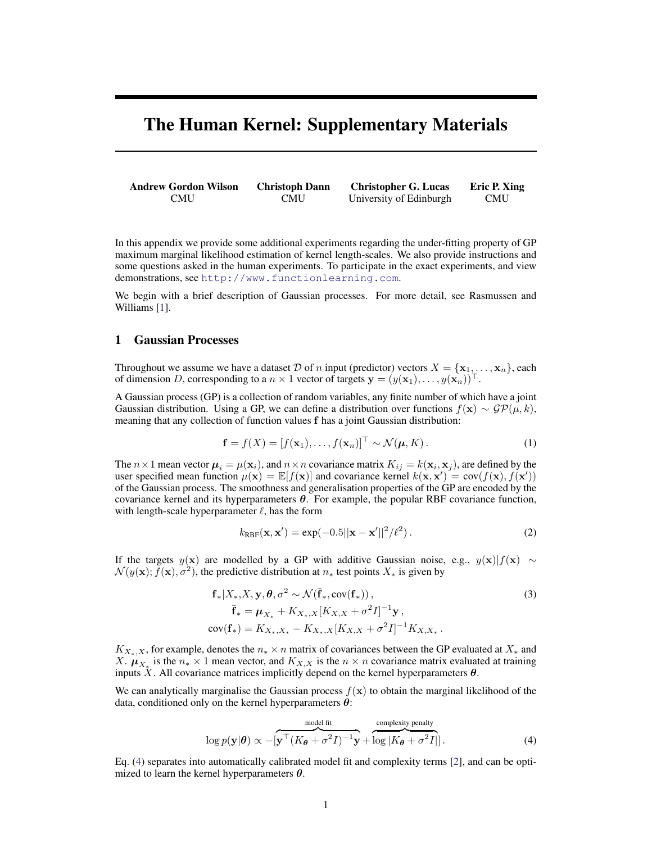# The Human Kernel: Supplementary Materials

Andrew Gordon Wilson CMU Christoph Dann CMU Christopher G. Lucas University of Edinburgh Eric P. Xing CMU

In this appendix we provide some additional experiments regarding the under-fitting property of GP maximum marginal likelihood estimation of kernel length-scales. We also provide instructions and some questions asked in the human experiments. To participate in the exact experiments, and view demonstrations, see <http://www.functionlearning.com>.

We begin with a brief description of Gaussian processes. For more detail, see Rasmussen and Williams [\[1\]](#page-4-0).

#### 1 Gaussian Processes

Throughout we assume we have a dataset D of n input (predictor) vectors  $X = {\mathbf{x}_1, \dots, \mathbf{x}_n}$ , each of dimension D, corresponding to a  $n \times 1$  vector of targets  $\mathbf{y} = (y(\mathbf{x}_1), \dots, y(\mathbf{x}_n))^{\top}$ .

A Gaussian process (GP) is a collection of random variables, any finite number of which have a joint Gaussian distribution. Using a GP, we can define a distribution over functions  $f(x) \sim \mathcal{GP}(\mu, k)$ , meaning that any collection of function values f has a joint Gaussian distribution:

$$
\mathbf{f} = f(X) = [f(\mathbf{x}_1), \dots, f(\mathbf{x}_n)]^\top \sim \mathcal{N}(\boldsymbol{\mu}, K). \tag{1}
$$

The  $n \times 1$  mean vector  $\mu_i = \mu(\mathbf{x}_i)$ , and  $n \times n$  covariance matrix  $K_{ij} = k(\mathbf{x}_i, \mathbf{x}_j)$ , are defined by the user specified mean function  $\mu(\mathbf{x}) = \mathbb{E}[f(\mathbf{x})]$  and covariance kernel  $k(\mathbf{x}, \mathbf{x}') = \text{cov}(f(\mathbf{x}), f(\mathbf{x}'))$ of the Gaussian process. The smoothness and generalisation properties of the GP are encoded by the covariance kernel and its hyperparameters  $\theta$ . For example, the popular RBF covariance function, with length-scale hyperparameter  $\ell$ , has the form

$$
k_{\text{RBF}}(\mathbf{x}, \mathbf{x}') = \exp(-0.5||\mathbf{x} - \mathbf{x}'||^2/\ell^2). \tag{2}
$$

If the targets y(x) are modelled by a GP with additive Gaussian noise, e.g.,  $y(x)|f(x) \sim$  $\mathcal{N}(y(\mathbf{x}); \tilde{f}(\mathbf{x}), \sigma^2)$ , the predictive distribution at  $n_*$  test points  $X_*$  is given by

$$
\mathbf{f}_{*}|X_{*}, X, \mathbf{y}, \theta, \sigma^{2} \sim \mathcal{N}(\bar{\mathbf{f}}_{*}, \text{cov}(\mathbf{f}_{*})), \n\bar{\mathbf{f}}_{*} = \boldsymbol{\mu}_{X_{*}} + K_{X_{*}, X}[K_{X, X} + \sigma^{2}I]^{-1}\mathbf{y}, \n\text{cov}(\mathbf{f}_{*}) = K_{X_{*}, X_{*}} - K_{X_{*}, X}[K_{X, X} + \sigma^{2}I]^{-1}K_{X, X_{*}}.
$$
\n(3)

 $K_{X<sub>*</sub>,X}$ , for example, denotes the  $n<sub>*</sub> \times n$  matrix of covariances between the GP evaluated at  $X<sub>*</sub>$  and X.  $\mu_{X^*}$  is the  $n_* \times 1$  mean vector, and  $K_{X,X}$  is the  $n \times n$  covariance matrix evaluated at training inputs X. All covariance matrices implicitly depend on the kernel hyperparameters  $\theta$ .

We can analytically marginalise the Gaussian process  $f(x)$  to obtain the marginal likelihood of the data, conditioned only on the kernel hyperparameters  $\theta$ :

<span id="page-0-0"></span>
$$
\log p(\mathbf{y}|\boldsymbol{\theta}) \propto -[\mathbf{y}^\top (K_{\boldsymbol{\theta}} + \sigma^2 I)^{-1} \mathbf{y} + \log |K_{\boldsymbol{\theta}} + \sigma^2 I|].
$$
 (4)

Eq. [\(4\)](#page-0-0) separates into automatically calibrated model fit and complexity terms [\[2\]](#page-4-1), and can be optimized to learn the kernel hyperparameters  $\theta$ .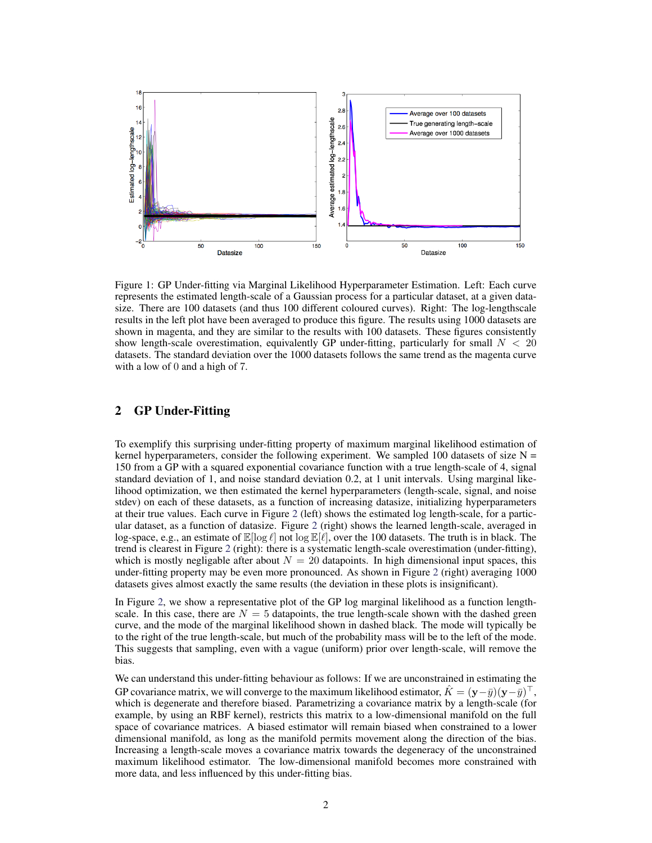

Figure 1: GP Under-fitting via Marginal Likelihood Hyperparameter Estimation. Left: Each curve represents the estimated length-scale of a Gaussian process for a particular dataset, at a given datasize. There are 100 datasets (and thus 100 different coloured curves). Right: The log-lengthscale results in the left plot have been averaged to produce this figure. The results using 1000 datasets are shown in magenta, and they are similar to the results with 100 datasets. These figures consistently show length-scale overestimation, equivalently GP under-fitting, particularly for small  $N < 20$ datasets. The standard deviation over the 1000 datasets follows the same trend as the magenta curve with a low of 0 and a high of 7.

## 2 GP Under-Fitting

To exemplify this surprising under-fitting property of maximum marginal likelihood estimation of kernel hyperparameters, consider the following experiment. We sampled 100 datasets of size  $N =$ 150 from a GP with a squared exponential covariance function with a true length-scale of 4, signal standard deviation of 1, and noise standard deviation 0.2, at 1 unit intervals. Using marginal likelihood optimization, we then estimated the kernel hyperparameters (length-scale, signal, and noise stdev) on each of these datasets, as a function of increasing datasize, initializing hyperparameters at their true values. Each curve in Figure [2](#page-2-0) (left) shows the estimated log length-scale, for a particular dataset, as a function of datasize. Figure [2](#page-2-0) (right) shows the learned length-scale, averaged in log-space, e.g., an estimate of  $\mathbb{E}[\log \ell]$  not  $\log \mathbb{E}[\ell]$ , over the 100 datasets. The truth is in black. The trend is clearest in Figure [2](#page-2-0) (right): there is a systematic length-scale overestimation (under-fitting), which is mostly negligable after about  $N = 20$  datapoints. In high dimensional input spaces, this under-fitting property may be even more pronounced. As shown in Figure [2](#page-2-0) (right) averaging 1000 datasets gives almost exactly the same results (the deviation in these plots is insignificant).

In Figure [2,](#page-2-0) we show a representative plot of the GP log marginal likelihood as a function lengthscale. In this case, there are  $N = 5$  datapoints, the true length-scale shown with the dashed green curve, and the mode of the marginal likelihood shown in dashed black. The mode will typically be to the right of the true length-scale, but much of the probability mass will be to the left of the mode. This suggests that sampling, even with a vague (uniform) prior over length-scale, will remove the bias.

We can understand this under-fitting behaviour as follows: If we are unconstrained in estimating the GP covariance matrix, we will converge to the maximum likelihood estimator,  $\hat{K} = (\mathbf{y} - \bar{y})(\mathbf{y} - \bar{y})^\top$ , which is degenerate and therefore biased. Parametrizing a covariance matrix by a length-scale (for example, by using an RBF kernel), restricts this matrix to a low-dimensional manifold on the full space of covariance matrices. A biased estimator will remain biased when constrained to a lower dimensional manifold, as long as the manifold permits movement along the direction of the bias. Increasing a length-scale moves a covariance matrix towards the degeneracy of the unconstrained maximum likelihood estimator. The low-dimensional manifold becomes more constrained with more data, and less influenced by this under-fitting bias.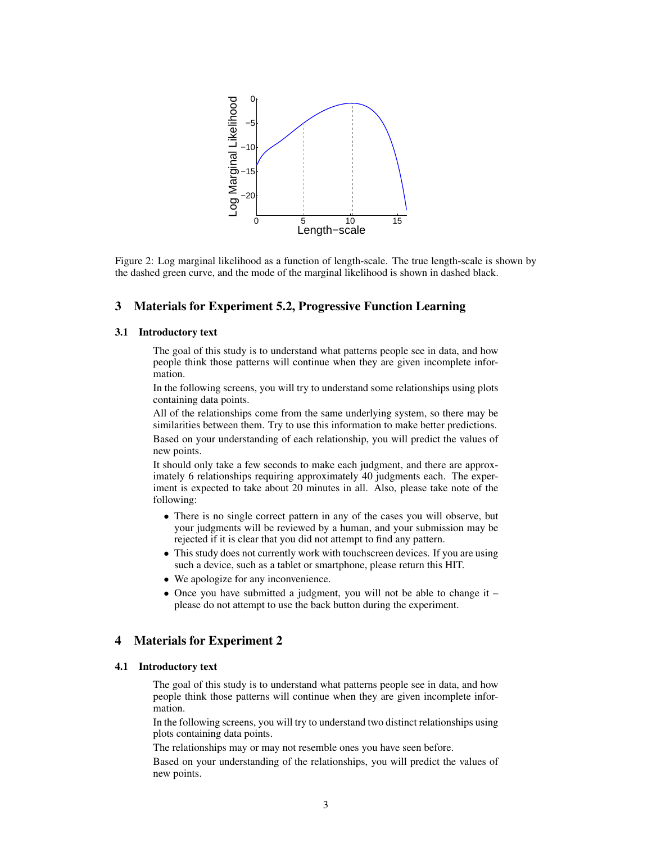

<span id="page-2-0"></span>Figure 2: Log marginal likelihood as a function of length-scale. The true length-scale is shown by the dashed green curve, and the mode of the marginal likelihood is shown in dashed black.

## 3 Materials for Experiment 5.2, Progressive Function Learning

### 3.1 Introductory text

The goal of this study is to understand what patterns people see in data, and how people think those patterns will continue when they are given incomplete information.

In the following screens, you will try to understand some relationships using plots containing data points.

All of the relationships come from the same underlying system, so there may be similarities between them. Try to use this information to make better predictions. Based on your understanding of each relationship, you will predict the values of new points.

It should only take a few seconds to make each judgment, and there are approximately 6 relationships requiring approximately 40 judgments each. The experiment is expected to take about 20 minutes in all. Also, please take note of the following:

- There is no single correct pattern in any of the cases you will observe, but your judgments will be reviewed by a human, and your submission may be rejected if it is clear that you did not attempt to find any pattern.
- This study does not currently work with touchscreen devices. If you are using such a device, such as a tablet or smartphone, please return this HIT.
- We apologize for any inconvenience.
- Once you have submitted a judgment, you will not be able to change it please do not attempt to use the back button during the experiment.

## 4 Materials for Experiment 2

#### 4.1 Introductory text

The goal of this study is to understand what patterns people see in data, and how people think those patterns will continue when they are given incomplete information.

In the following screens, you will try to understand two distinct relationships using plots containing data points.

The relationships may or may not resemble ones you have seen before.

Based on your understanding of the relationships, you will predict the values of new points.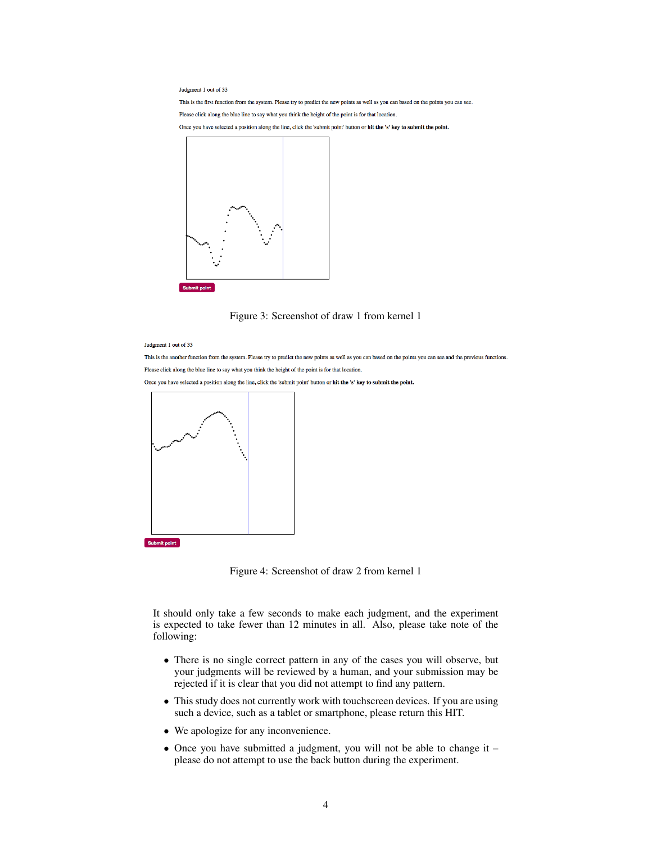Judgment 1 out of 33

This is the first function from the system. Please try to predict the new points as well as you can based on the points you can see. Please click along the blue line to say what you think the height of the point is for that location.

Once you have selected a position along the line, click the 'submit point' button or hit the 's' key to submit the point.



Figure 3: Screenshot of draw 1 from kernel 1

Indoment 1 out of 33

This is the another function from the system. Please try to predict the new points as well as you can based on the points you can see and the previous functions. Please click along the blue line to say what you think the height of the point is for that location.

Once you have selected a position along the line, click the 'submit point' button or hit the 's' key to submit the point.



Figure 4: Screenshot of draw 2 from kernel 1

It should only take a few seconds to make each judgment, and the experiment is expected to take fewer than 12 minutes in all. Also, please take note of the following:

- There is no single correct pattern in any of the cases you will observe, but your judgments will be reviewed by a human, and your submission may be rejected if it is clear that you did not attempt to find any pattern.
- This study does not currently work with touchscreen devices. If you are using such a device, such as a tablet or smartphone, please return this HIT.
- We apologize for any inconvenience.
- Once you have submitted a judgment, you will not be able to change it please do not attempt to use the back button during the experiment.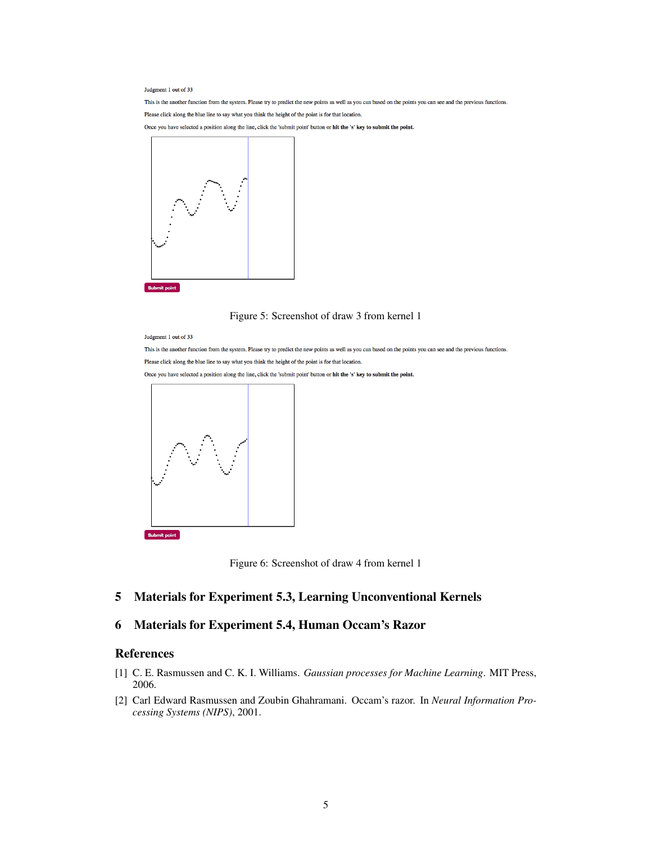Judgment 1 out of 33

This is the another function from the system. Please try to predict the new points as well as you can based on the points you can see and the previous functions. Please click along the blue line to say what you think the height of the point is for that location.

Once you have selected a position along the line, click the 'submit point' button or hit the 's' key to submit the point.



### Figure 5: Screenshot of draw 3 from kernel 1

Judgment 1 out of 33

This is the another function from the system. Please try to predict the new points as well as you can based on the points you can see and the previous functions. Please click along the blue line to say what you think the height of the point is for that location.

Once you have selected a position along the line, click the 'submit point' button or hit the 's' key to submit the point.



Submit point



## 5 Materials for Experiment 5.3, Learning Unconventional Kernels

## 6 Materials for Experiment 5.4, Human Occam's Razor

## References

- <span id="page-4-0"></span>[1] C. E. Rasmussen and C. K. I. Williams. *Gaussian processes for Machine Learning*. MIT Press, 2006.
- <span id="page-4-1"></span>[2] Carl Edward Rasmussen and Zoubin Ghahramani. Occam's razor. In *Neural Information Processing Systems (NIPS)*, 2001.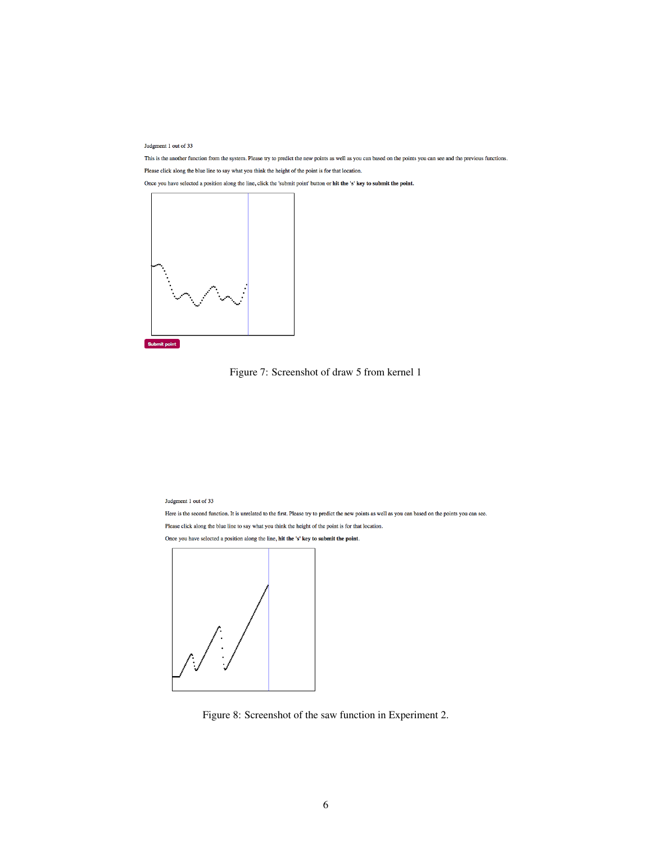Judgment 1 out of 33

This is the another function from the system. Please try to predict the new points as well as you can based on the points you can see and the previous functions. Please click along the blue line to say what you think the height of the point is for that location.









Judgment 1 out of 33

Here is the second function. It is unrelated to the first. Please try to predict the new points as well as you can based on the points you can see. Please click along the blue line to say what you think the height of the point is for that location. Once you have selected a position along the line, hit the 's' key to submit the point.



Figure 8: Screenshot of the saw function in Experiment 2.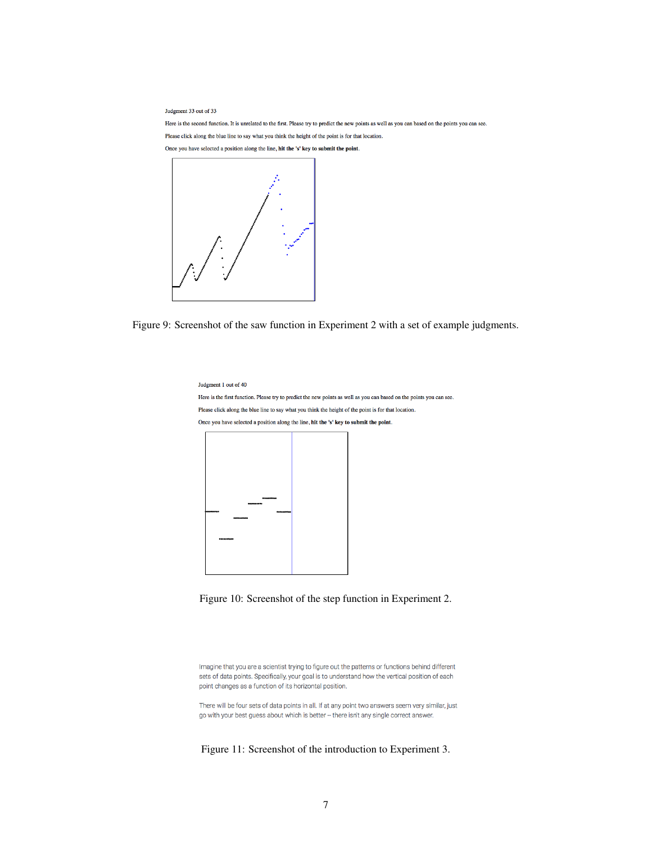Judgment 33 out of 33

Here is the second function. It is unrelated to the first. Please try to predict the new points as well as you can based on the points you can see.

Please click along the blue line to say what you think the height of the point is for that location.

Once you have selected a position along the line, hit the 's' key to submit the point.



Figure 9: Screenshot of the saw function in Experiment 2 with a set of example judgments.

Judgment 1 out of 40

Here is the first function. Please try to predict the new points as well as you can based on the points you can see. Please click along the blue line to say what you think the height of the point is for that location. Once you have selected a position along the line, hit the 's' key to submit the point.





Imagine that you are a scientist trying to figure out the patterns or functions behind different sets of data points. Specifically, your goal is to understand how the vertical position of each point changes as a function of its horizontal position.

There will be four sets of data points in all. If at any point two answers seem very similar, just go with your best guess about which is better - there isn't any single correct answer.

Figure 11: Screenshot of the introduction to Experiment 3.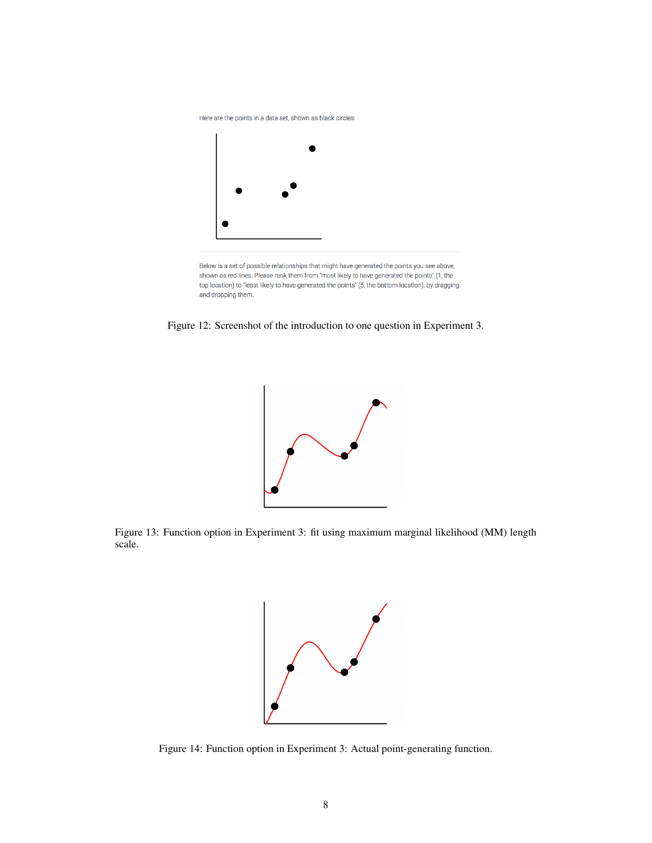Here are the points in a data set, shown as black circles:



Below is a set of possible relationships that might have generated the points you see above, shown as red lines. Please rank them from "most likely to have generated the points" (1; the top location) to "least likely to have generated the points" (5; the bottom location), by dragging and dropping them.

Figure 12: Screenshot of the introduction to one question in Experiment 3.



Figure 13: Function option in Experiment 3: fit using maximum marginal likelihood (MM) length scale.



Figure 14: Function option in Experiment 3: Actual point-generating function.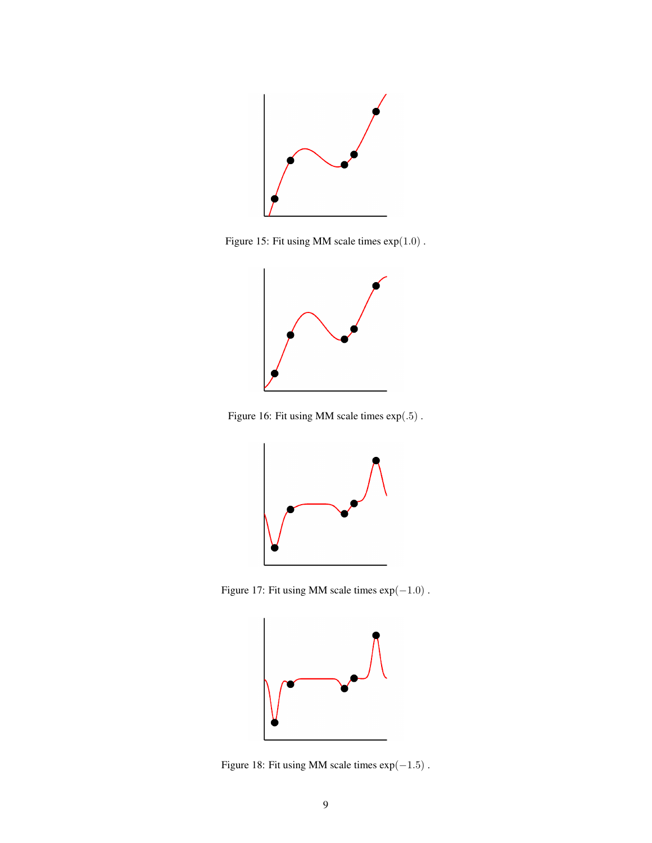

Figure 15: Fit using MM scale times exp(1.0) .



Figure 16: Fit using MM scale times exp(.5) .



Figure 17: Fit using MM scale times  $\exp(-1.0)$ .



Figure 18: Fit using MM scale times  $\exp(-1.5)$  .